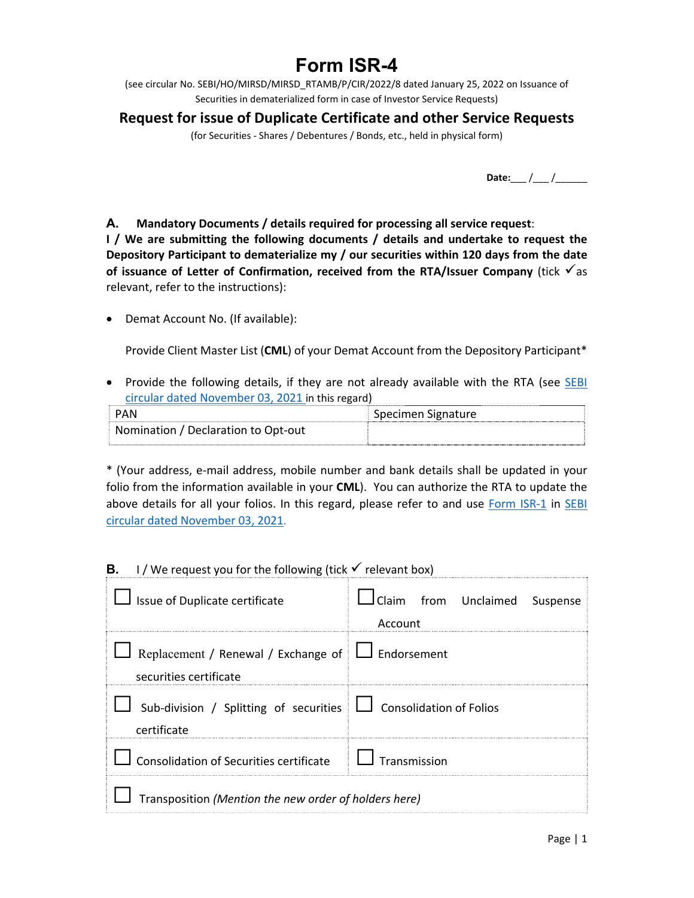# **Form ISR-4**

(see circular No. SEBI/HO/MIRSD/MIRSD\_RTAMB/P/CIR/2022/8 dated January 25, 2022 on Issuance of Securities in dematerialized form in case of Investor Service Requests)

# **Request for issue of Duplicate Certificate and other Service Requests**

(for Securities ‐ Shares / Debentures / Bonds, etc., held in physical form)

**Date:**\_\_\_ /\_\_\_ /\_\_\_\_\_\_

**A. Mandatory Documents / details required for processing all service request**:

**I** / We are submitting the following documents / details and undertake to request the **Depository Participant to dematerialize my / our securities within 120 days from the date of issuance of Letter of Confirmation, received from the RTA/Issuer Company** (tick  $\checkmark$  as relevant, refer to the instructions):

Demat Account No. (If available):

Provide Client Master List (**CML**) of your Demat Account from the Depository Participant\*

• Provide the following details, if they are not already available with the RTA (see SEBI circular dated November 03, 2021 in this regard)

| <b>PAN</b>                          | Specimen Signature |
|-------------------------------------|--------------------|
| Nomination / Declaration to Opt-out |                    |

\* (Your address, e‐mail address, mobile number and bank details shall be updated in your folio from the information available in your **CML**). You can authorize the RTA to update the above details for all your folios. In this regard, please refer to and use Form ISR-1 in SEBI circular dated November 03, 2021.

## **B. I** / We request you for the following (tick  $\checkmark$  relevant box)

| Issue of Duplicate certificate                                                       | Iclaim from Unclaimed Suspense<br>Account |  |  |
|--------------------------------------------------------------------------------------|-------------------------------------------|--|--|
| Replacement / Renewal / Exchange of $\Box$ Endorsement<br>securities certificate     |                                           |  |  |
| Sub-division / Splitting of securities $\Box$ Consolidation of Folios<br>certificate |                                           |  |  |
| $\Box$ Consolidation of Securities certificate $\Box$ Transmission                   |                                           |  |  |
| Transposition (Mention the new order of holders here)                                |                                           |  |  |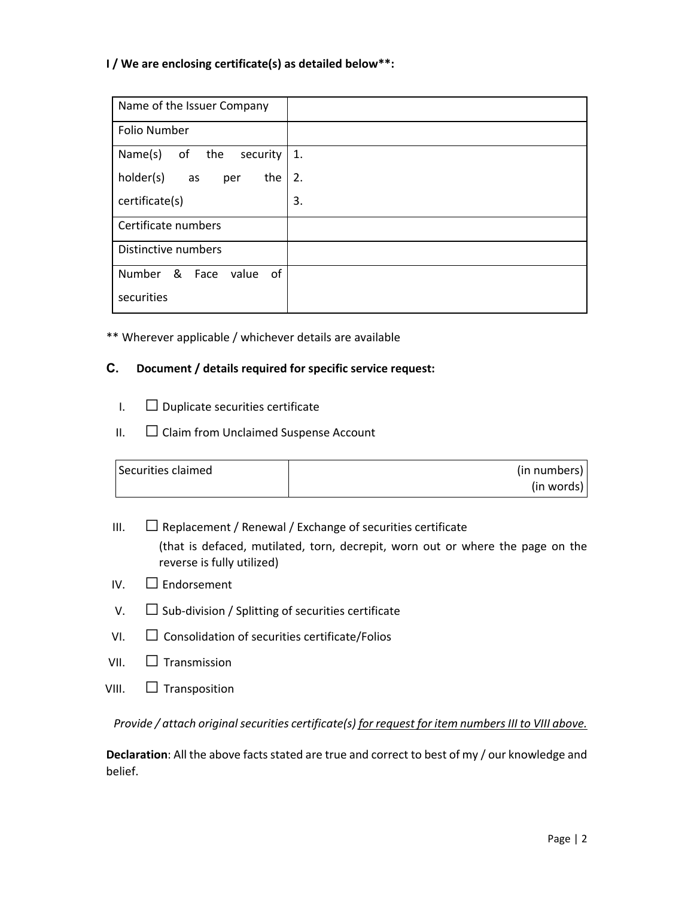### **I / We are enclosing certificate(s) as detailed below\*\*:**

| Name of the Issuer Company    |    |
|-------------------------------|----|
| <b>Folio Number</b>           |    |
| Name(s)<br>of the<br>security | 1. |
| holder(s)<br>the<br>as<br>per | 2. |
| certificate(s)                | 3. |
| Certificate numbers           |    |
| Distinctive numbers           |    |
| Number & Face<br>value<br>0f  |    |
| securities                    |    |

\*\* Wherever applicable / whichever details are available

### **C. Document / details required for specific service request:**

- $I.$   $\Box$  Duplicate securities certificate
- $II.$   $\Box$  Claim from Unclaimed Suspense Account

| Securities claimed | (in numbers) |
|--------------------|--------------|
|                    | (in words)   |

- III.  $\Box$  Replacement / Renewal / Exchange of securities certificate (that is defaced, mutilated, torn, decrepit, worn out or where the page on the reverse is fully utilized)
- $IV.$   $\Box$  Endorsement
- V.  $\Box$  Sub-division / Splitting of securities certificate
- $VI.$   $\Box$  Consolidation of securities certificate/Folios
- VII.  $\Box$  Transmission
- VIII.  $\Box$  Transposition

*Provide / attach original securities certificate(s) for request for item numbers III to VIII above.* 

**Declaration**: All the above facts stated are true and correct to best of my / our knowledge and belief.